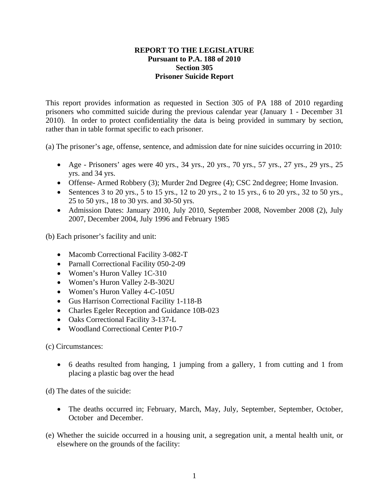## **REPORT TO THE LEGISLATURE Pursuant to P.A. 188 of 2010 Section 305 Prisoner Suicide Report**

This report provides information as requested in Section 305 of PA 188 of 2010 regarding prisoners who committed suicide during the previous calendar year (January 1 - December 31 2010). In order to protect confidentiality the data is being provided in summary by section, rather than in table format specific to each prisoner.

(a) The prisoner's age, offense, sentence, and admission date for nine suicides occurring in 2010:

- Age Prisoners' ages were 40 yrs.,  $34$  yrs.,  $20$  yrs.,  $70$  yrs.,  $57$  yrs.,  $27$  yrs.,  $29$  yrs.,  $25$ yrs. and 34 yrs.
- Offense- Armed Robbery (3); Murder 2nd Degree (4); CSC 2nd degree; Home Invasion.
- Sentences 3 to 20 yrs., 5 to 15 yrs., 12 to 20 yrs., 2 to 15 yrs., 6 to 20 yrs., 32 to 50 yrs., 25 to 50 yrs., 18 to 30 yrs. and 30-50 yrs.
- Admission Dates: January 2010, July 2010, September 2008, November 2008 (2), July 2007, December 2004, July 1996 and February 1985

(b) Each prisoner's facility and unit:

- Macomb Correctional Facility 3-082-T
- Parnall Correctional Facility 050-2-09
- Women's Huron Valley 1C-310
- Women's Huron Valley 2-B-302U
- Women's Huron Valley 4-C-105U
- Gus Harrison Correctional Facility 1-118-B
- Charles Egeler Reception and Guidance 10B-023
- Oaks Correctional Facility 3-137-L
- Woodland Correctional Center P10-7

(c) Circumstances:

• 6 deaths resulted from hanging, 1 jumping from a gallery, 1 from cutting and 1 from placing a plastic bag over the head

(d) The dates of the suicide:

- The deaths occurred in; February, March, May, July, September, September, October, October and December.
- (e) Whether the suicide occurred in a housing unit, a segregation unit, a mental health unit, or elsewhere on the grounds of the facility: